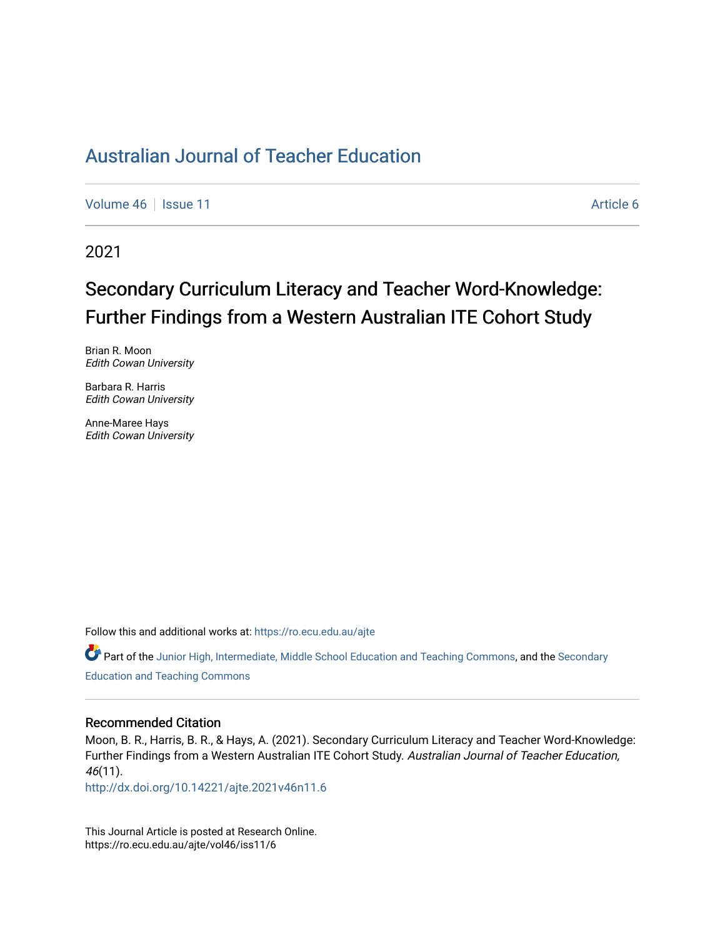[Volume 46](https://ro.ecu.edu.au/ajte/vol46) | [Issue 11](https://ro.ecu.edu.au/ajte/vol46/iss11) Article 6

2021

# Secondary Curriculum Literacy and Teacher Word-Knowledge: Further Findings from a Western Australian ITE Cohort Study

Brian R. Moon Edith Cowan University

Barbara R. Harris Edith Cowan University

Anne-Maree Hays Edith Cowan University

Follow this and additional works at: [https://ro.ecu.edu.au/ajte](https://ro.ecu.edu.au/ajte?utm_source=ro.ecu.edu.au%2Fajte%2Fvol46%2Fiss11%2F6&utm_medium=PDF&utm_campaign=PDFCoverPages) 

Part of the [Junior High, Intermediate, Middle School Education and Teaching Commons](http://network.bepress.com/hgg/discipline/807?utm_source=ro.ecu.edu.au%2Fajte%2Fvol46%2Fiss11%2F6&utm_medium=PDF&utm_campaign=PDFCoverPages), and the Secondary [Education and Teaching Commons](http://network.bepress.com/hgg/discipline/809?utm_source=ro.ecu.edu.au%2Fajte%2Fvol46%2Fiss11%2F6&utm_medium=PDF&utm_campaign=PDFCoverPages)

#### Recommended Citation

Moon, B. R., Harris, B. R., & Hays, A. (2021). Secondary Curriculum Literacy and Teacher Word-Knowledge: Further Findings from a Western Australian ITE Cohort Study. Australian Journal of Teacher Education, 46(11).

<http://dx.doi.org/10.14221/ajte.2021v46n11.6>

This Journal Article is posted at Research Online. https://ro.ecu.edu.au/ajte/vol46/iss11/6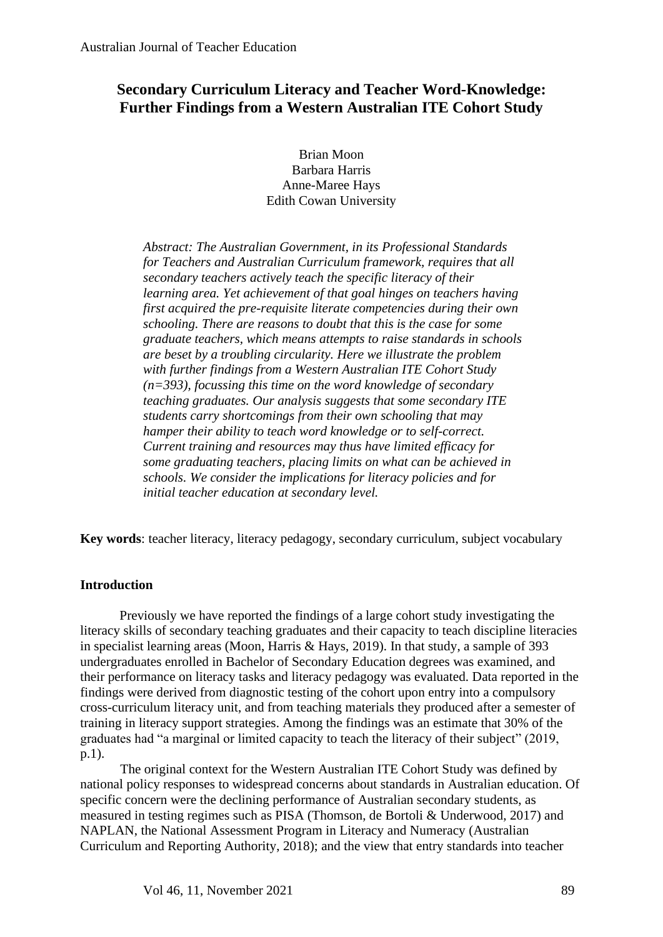# **Secondary Curriculum Literacy and Teacher Word-Knowledge: Further Findings from a Western Australian ITE Cohort Study**

Brian Moon Barbara Harris Anne-Maree Hays Edith Cowan University

*Abstract: The Australian Government, in its Professional Standards for Teachers and Australian Curriculum framework, requires that all secondary teachers actively teach the specific literacy of their learning area. Yet achievement of that goal hinges on teachers having first acquired the pre-requisite literate competencies during their own schooling. There are reasons to doubt that this is the case for some graduate teachers, which means attempts to raise standards in schools are beset by a troubling circularity. Here we illustrate the problem with further findings from a Western Australian ITE Cohort Study (n=393), focussing this time on the word knowledge of secondary teaching graduates. Our analysis suggests that some secondary ITE students carry shortcomings from their own schooling that may hamper their ability to teach word knowledge or to self-correct. Current training and resources may thus have limited efficacy for some graduating teachers, placing limits on what can be achieved in schools. We consider the implications for literacy policies and for initial teacher education at secondary level.* 

**Key words**: teacher literacy, literacy pedagogy, secondary curriculum, subject vocabulary

# **Introduction**

Previously we have reported the findings of a large cohort study investigating the literacy skills of secondary teaching graduates and their capacity to teach discipline literacies in specialist learning areas (Moon, Harris & Hays, 2019). In that study, a sample of 393 undergraduates enrolled in Bachelor of Secondary Education degrees was examined, and their performance on literacy tasks and literacy pedagogy was evaluated. Data reported in the findings were derived from diagnostic testing of the cohort upon entry into a compulsory cross-curriculum literacy unit, and from teaching materials they produced after a semester of training in literacy support strategies. Among the findings was an estimate that 30% of the graduates had "a marginal or limited capacity to teach the literacy of their subject" (2019, p.1).

The original context for the Western Australian ITE Cohort Study was defined by national policy responses to widespread concerns about standards in Australian education. Of specific concern were the declining performance of Australian secondary students, as measured in testing regimes such as PISA (Thomson, de Bortoli & Underwood, 2017) and NAPLAN, the National Assessment Program in Literacy and Numeracy (Australian Curriculum and Reporting Authority, 2018); and the view that entry standards into teacher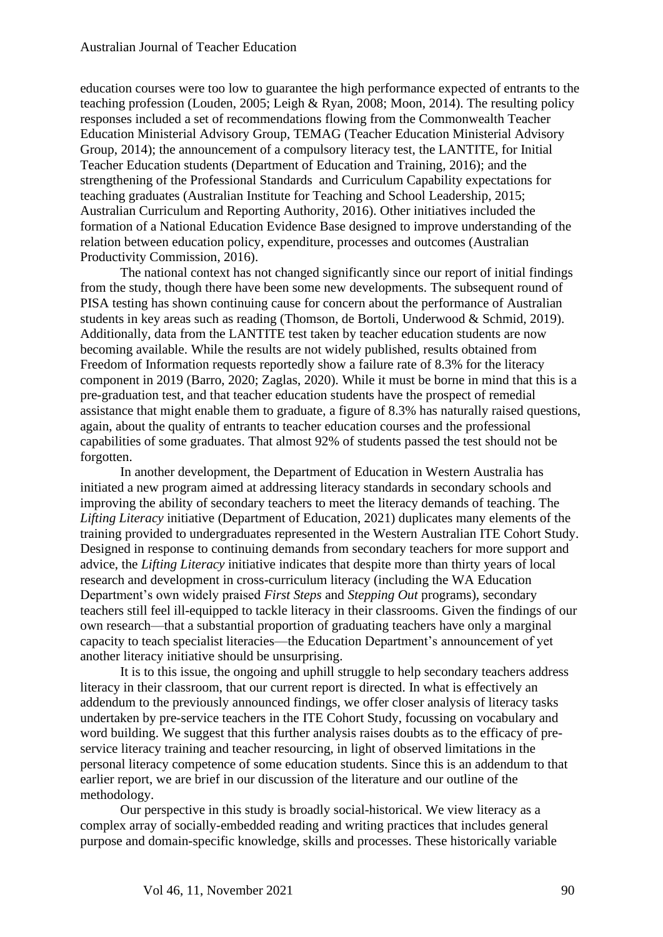education courses were too low to guarantee the high performance expected of entrants to the teaching profession (Louden, 2005; Leigh & Ryan, 2008; Moon, 2014). The resulting policy responses included a set of recommendations flowing from the Commonwealth Teacher Education Ministerial Advisory Group, TEMAG (Teacher Education Ministerial Advisory Group, 2014); the announcement of a compulsory literacy test, the LANTITE, for Initial Teacher Education students (Department of Education and Training, 2016); and the strengthening of the Professional Standards and Curriculum Capability expectations for teaching graduates (Australian Institute for Teaching and School Leadership, 2015; Australian Curriculum and Reporting Authority, 2016). Other initiatives included the formation of a National Education Evidence Base designed to improve understanding of the relation between education policy, expenditure, processes and outcomes (Australian Productivity Commission, 2016).

The national context has not changed significantly since our report of initial findings from the study, though there have been some new developments. The subsequent round of PISA testing has shown continuing cause for concern about the performance of Australian students in key areas such as reading (Thomson, de Bortoli, Underwood & Schmid, 2019). Additionally, data from the LANTITE test taken by teacher education students are now becoming available. While the results are not widely published, results obtained from Freedom of Information requests reportedly show a failure rate of 8.3% for the literacy component in 2019 (Barro, 2020; Zaglas, 2020). While it must be borne in mind that this is a pre-graduation test, and that teacher education students have the prospect of remedial assistance that might enable them to graduate, a figure of 8.3% has naturally raised questions, again, about the quality of entrants to teacher education courses and the professional capabilities of some graduates. That almost 92% of students passed the test should not be forgotten.

In another development, the Department of Education in Western Australia has initiated a new program aimed at addressing literacy standards in secondary schools and improving the ability of secondary teachers to meet the literacy demands of teaching. The *Lifting Literacy* initiative (Department of Education, 2021) duplicates many elements of the training provided to undergraduates represented in the Western Australian ITE Cohort Study. Designed in response to continuing demands from secondary teachers for more support and advice, the *Lifting Literacy* initiative indicates that despite more than thirty years of local research and development in cross-curriculum literacy (including the WA Education Department's own widely praised *First Steps* and *Stepping Out* programs), secondary teachers still feel ill-equipped to tackle literacy in their classrooms. Given the findings of our own research—that a substantial proportion of graduating teachers have only a marginal capacity to teach specialist literacies—the Education Department's announcement of yet another literacy initiative should be unsurprising.

It is to this issue, the ongoing and uphill struggle to help secondary teachers address literacy in their classroom, that our current report is directed. In what is effectively an addendum to the previously announced findings, we offer closer analysis of literacy tasks undertaken by pre-service teachers in the ITE Cohort Study, focussing on vocabulary and word building. We suggest that this further analysis raises doubts as to the efficacy of preservice literacy training and teacher resourcing, in light of observed limitations in the personal literacy competence of some education students. Since this is an addendum to that earlier report, we are brief in our discussion of the literature and our outline of the methodology.

Our perspective in this study is broadly social-historical. We view literacy as a complex array of socially-embedded reading and writing practices that includes general purpose and domain-specific knowledge, skills and processes. These historically variable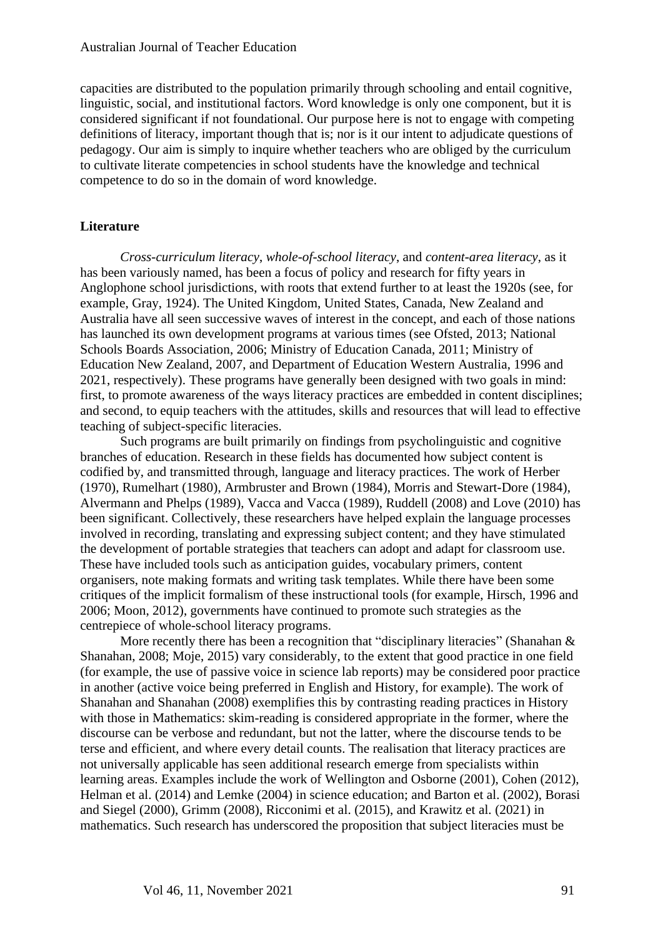capacities are distributed to the population primarily through schooling and entail cognitive, linguistic, social, and institutional factors. Word knowledge is only one component, but it is considered significant if not foundational. Our purpose here is not to engage with competing definitions of literacy, important though that is; nor is it our intent to adjudicate questions of pedagogy. Our aim is simply to inquire whether teachers who are obliged by the curriculum to cultivate literate competencies in school students have the knowledge and technical competence to do so in the domain of word knowledge.

## **Literature**

*Cross-curriculum literacy*, *whole-of-school literacy*, and *content-area literacy*, as it has been variously named, has been a focus of policy and research for fifty years in Anglophone school jurisdictions, with roots that extend further to at least the 1920s (see, for example, Gray, 1924). The United Kingdom, United States, Canada, New Zealand and Australia have all seen successive waves of interest in the concept, and each of those nations has launched its own development programs at various times (see Ofsted, 2013; National Schools Boards Association, 2006; Ministry of Education Canada, 2011; Ministry of Education New Zealand, 2007, and Department of Education Western Australia, 1996 and 2021, respectively). These programs have generally been designed with two goals in mind: first, to promote awareness of the ways literacy practices are embedded in content disciplines; and second, to equip teachers with the attitudes, skills and resources that will lead to effective teaching of subject-specific literacies.

Such programs are built primarily on findings from psycholinguistic and cognitive branches of education. Research in these fields has documented how subject content is codified by, and transmitted through, language and literacy practices. The work of Herber (1970), Rumelhart (1980), Armbruster and Brown (1984), Morris and Stewart-Dore (1984), Alvermann and Phelps (1989), Vacca and Vacca (1989), Ruddell (2008) and Love (2010) has been significant. Collectively, these researchers have helped explain the language processes involved in recording, translating and expressing subject content; and they have stimulated the development of portable strategies that teachers can adopt and adapt for classroom use. These have included tools such as anticipation guides, vocabulary primers, content organisers, note making formats and writing task templates. While there have been some critiques of the implicit formalism of these instructional tools (for example, Hirsch, 1996 and 2006; Moon, 2012), governments have continued to promote such strategies as the centrepiece of whole-school literacy programs.

More recently there has been a recognition that "disciplinary literacies" (Shanahan & Shanahan, 2008; Moje, 2015) vary considerably, to the extent that good practice in one field (for example, the use of passive voice in science lab reports) may be considered poor practice in another (active voice being preferred in English and History, for example). The work of Shanahan and Shanahan (2008) exemplifies this by contrasting reading practices in History with those in Mathematics: skim-reading is considered appropriate in the former, where the discourse can be verbose and redundant, but not the latter, where the discourse tends to be terse and efficient, and where every detail counts. The realisation that literacy practices are not universally applicable has seen additional research emerge from specialists within learning areas. Examples include the work of Wellington and Osborne (2001), Cohen (2012), Helman et al. (2014) and Lemke (2004) in science education; and Barton et al. (2002), Borasi and Siegel (2000), Grimm (2008), Ricconimi et al. (2015), and Krawitz et al. (2021) in mathematics. Such research has underscored the proposition that subject literacies must be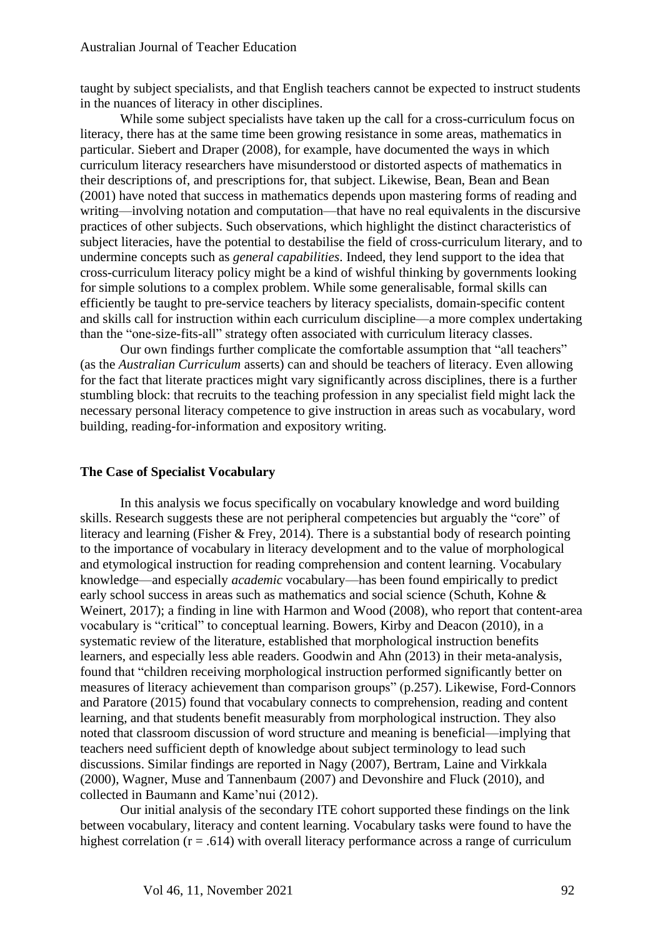taught by subject specialists, and that English teachers cannot be expected to instruct students in the nuances of literacy in other disciplines.

While some subject specialists have taken up the call for a cross-curriculum focus on literacy, there has at the same time been growing resistance in some areas, mathematics in particular. Siebert and Draper (2008), for example, have documented the ways in which curriculum literacy researchers have misunderstood or distorted aspects of mathematics in their descriptions of, and prescriptions for, that subject. Likewise, Bean, Bean and Bean (2001) have noted that success in mathematics depends upon mastering forms of reading and writing—involving notation and computation—that have no real equivalents in the discursive practices of other subjects. Such observations, which highlight the distinct characteristics of subject literacies, have the potential to destabilise the field of cross-curriculum literary, and to undermine concepts such as *general capabilities*. Indeed, they lend support to the idea that cross-curriculum literacy policy might be a kind of wishful thinking by governments looking for simple solutions to a complex problem. While some generalisable, formal skills can efficiently be taught to pre-service teachers by literacy specialists, domain-specific content and skills call for instruction within each curriculum discipline—a more complex undertaking than the "one-size-fits-all" strategy often associated with curriculum literacy classes.

Our own findings further complicate the comfortable assumption that "all teachers" (as the *Australian Curriculum* asserts) can and should be teachers of literacy. Even allowing for the fact that literate practices might vary significantly across disciplines, there is a further stumbling block: that recruits to the teaching profession in any specialist field might lack the necessary personal literacy competence to give instruction in areas such as vocabulary, word building, reading-for-information and expository writing.

# **The Case of Specialist Vocabulary**

In this analysis we focus specifically on vocabulary knowledge and word building skills. Research suggests these are not peripheral competencies but arguably the "core" of literacy and learning (Fisher & Frey, 2014). There is a substantial body of research pointing to the importance of vocabulary in literacy development and to the value of morphological and etymological instruction for reading comprehension and content learning. Vocabulary knowledge—and especially *academic* vocabulary—has been found empirically to predict early school success in areas such as mathematics and social science (Schuth, Kohne & Weinert, 2017); a finding in line with Harmon and Wood (2008), who report that content-area vocabulary is "critical" to conceptual learning. Bowers, Kirby and Deacon (2010), in a systematic review of the literature, established that morphological instruction benefits learners, and especially less able readers. Goodwin and Ahn (2013) in their meta-analysis, found that "children receiving morphological instruction performed significantly better on measures of literacy achievement than comparison groups" (p.257). Likewise, Ford-Connors and Paratore (2015) found that vocabulary connects to comprehension, reading and content learning, and that students benefit measurably from morphological instruction. They also noted that classroom discussion of word structure and meaning is beneficial—implying that teachers need sufficient depth of knowledge about subject terminology to lead such discussions. Similar findings are reported in Nagy (2007), Bertram, Laine and Virkkala (2000), Wagner, Muse and Tannenbaum (2007) and Devonshire and Fluck (2010), and collected in Baumann and Kame'nui (2012).

Our initial analysis of the secondary ITE cohort supported these findings on the link between vocabulary, literacy and content learning. Vocabulary tasks were found to have the highest correlation  $(r = .614)$  with overall literacy performance across a range of curriculum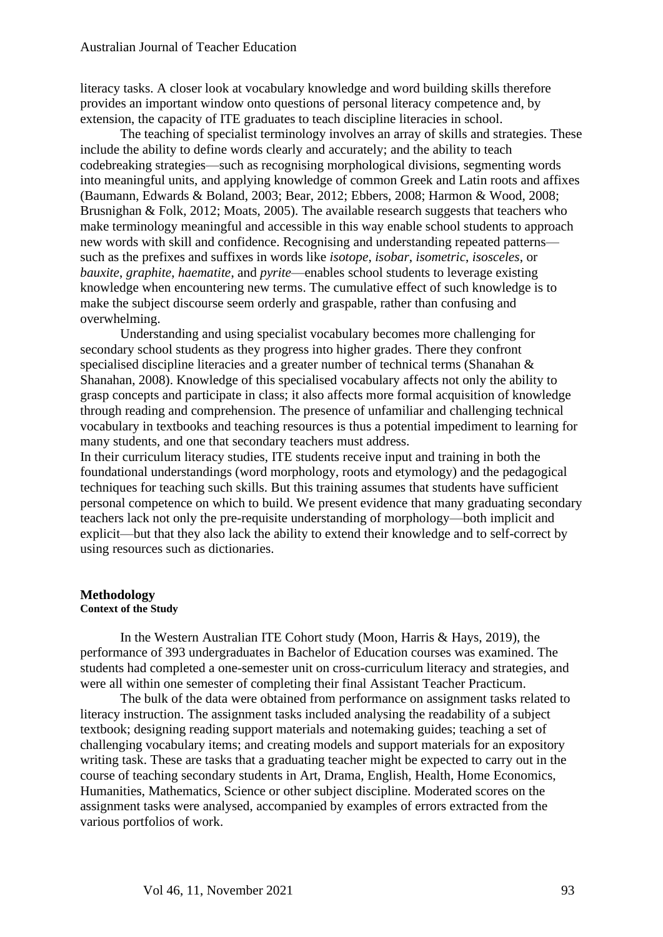literacy tasks. A closer look at vocabulary knowledge and word building skills therefore provides an important window onto questions of personal literacy competence and, by extension, the capacity of ITE graduates to teach discipline literacies in school.

The teaching of specialist terminology involves an array of skills and strategies. These include the ability to define words clearly and accurately; and the ability to teach codebreaking strategies—such as recognising morphological divisions, segmenting words into meaningful units, and applying knowledge of common Greek and Latin roots and affixes (Baumann, Edwards & Boland, 2003; Bear, 2012; Ebbers, 2008; Harmon & Wood, 2008; Brusnighan & Folk, 2012; Moats, 2005). The available research suggests that teachers who make terminology meaningful and accessible in this way enable school students to approach new words with skill and confidence. Recognising and understanding repeated patterns such as the prefixes and suffixes in words like *isotope*, *isobar*, *isometric*, *isosceles*, or *bauxite*, *graphite*, *haematite*, and *pyrite*—enables school students to leverage existing knowledge when encountering new terms. The cumulative effect of such knowledge is to make the subject discourse seem orderly and graspable, rather than confusing and overwhelming.

Understanding and using specialist vocabulary becomes more challenging for secondary school students as they progress into higher grades. There they confront specialised discipline literacies and a greater number of technical terms (Shanahan & Shanahan, 2008). Knowledge of this specialised vocabulary affects not only the ability to grasp concepts and participate in class; it also affects more formal acquisition of knowledge through reading and comprehension. The presence of unfamiliar and challenging technical vocabulary in textbooks and teaching resources is thus a potential impediment to learning for many students, and one that secondary teachers must address.

In their curriculum literacy studies, ITE students receive input and training in both the foundational understandings (word morphology, roots and etymology) and the pedagogical techniques for teaching such skills. But this training assumes that students have sufficient personal competence on which to build. We present evidence that many graduating secondary teachers lack not only the pre-requisite understanding of morphology—both implicit and explicit—but that they also lack the ability to extend their knowledge and to self-correct by using resources such as dictionaries.

# **Methodology**

#### **Context of the Study**

In the Western Australian ITE Cohort study (Moon, Harris & Hays, 2019), the performance of 393 undergraduates in Bachelor of Education courses was examined. The students had completed a one-semester unit on cross-curriculum literacy and strategies, and were all within one semester of completing their final Assistant Teacher Practicum.

The bulk of the data were obtained from performance on assignment tasks related to literacy instruction. The assignment tasks included analysing the readability of a subject textbook; designing reading support materials and notemaking guides; teaching a set of challenging vocabulary items; and creating models and support materials for an expository writing task. These are tasks that a graduating teacher might be expected to carry out in the course of teaching secondary students in Art, Drama, English, Health, Home Economics, Humanities, Mathematics, Science or other subject discipline. Moderated scores on the assignment tasks were analysed, accompanied by examples of errors extracted from the various portfolios of work.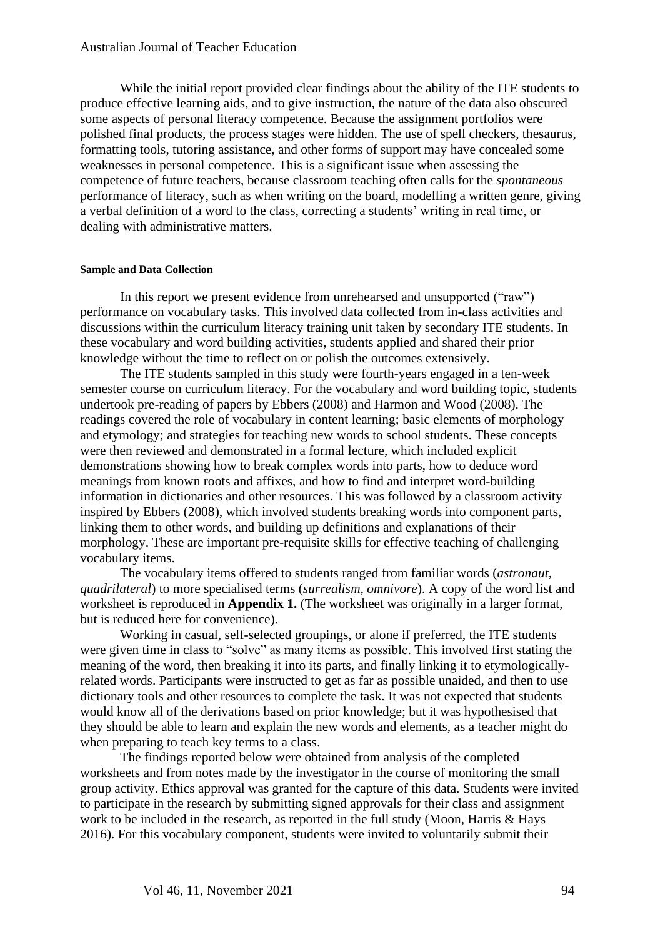While the initial report provided clear findings about the ability of the ITE students to produce effective learning aids, and to give instruction, the nature of the data also obscured some aspects of personal literacy competence. Because the assignment portfolios were polished final products, the process stages were hidden. The use of spell checkers, thesaurus, formatting tools, tutoring assistance, and other forms of support may have concealed some weaknesses in personal competence. This is a significant issue when assessing the competence of future teachers, because classroom teaching often calls for the *spontaneous* performance of literacy, such as when writing on the board, modelling a written genre, giving a verbal definition of a word to the class, correcting a students' writing in real time, or dealing with administrative matters.

#### **Sample and Data Collection**

In this report we present evidence from unrehearsed and unsupported ("raw") performance on vocabulary tasks. This involved data collected from in-class activities and discussions within the curriculum literacy training unit taken by secondary ITE students. In these vocabulary and word building activities, students applied and shared their prior knowledge without the time to reflect on or polish the outcomes extensively.

The ITE students sampled in this study were fourth-years engaged in a ten-week semester course on curriculum literacy. For the vocabulary and word building topic, students undertook pre-reading of papers by Ebbers (2008) and Harmon and Wood (2008). The readings covered the role of vocabulary in content learning; basic elements of morphology and etymology; and strategies for teaching new words to school students. These concepts were then reviewed and demonstrated in a formal lecture, which included explicit demonstrations showing how to break complex words into parts, how to deduce word meanings from known roots and affixes, and how to find and interpret word-building information in dictionaries and other resources. This was followed by a classroom activity inspired by Ebbers (2008), which involved students breaking words into component parts, linking them to other words, and building up definitions and explanations of their morphology. These are important pre-requisite skills for effective teaching of challenging vocabulary items.

The vocabulary items offered to students ranged from familiar words (*astronaut, quadrilateral*) to more specialised terms (*surrealism*, *omnivore*). A copy of the word list and worksheet is reproduced in **Appendix 1.** (The worksheet was originally in a larger format, but is reduced here for convenience).

Working in casual, self-selected groupings, or alone if preferred, the ITE students were given time in class to "solve" as many items as possible. This involved first stating the meaning of the word, then breaking it into its parts, and finally linking it to etymologicallyrelated words. Participants were instructed to get as far as possible unaided, and then to use dictionary tools and other resources to complete the task. It was not expected that students would know all of the derivations based on prior knowledge; but it was hypothesised that they should be able to learn and explain the new words and elements, as a teacher might do when preparing to teach key terms to a class.

The findings reported below were obtained from analysis of the completed worksheets and from notes made by the investigator in the course of monitoring the small group activity. Ethics approval was granted for the capture of this data. Students were invited to participate in the research by submitting signed approvals for their class and assignment work to be included in the research, as reported in the full study (Moon, Harris & Hays 2016). For this vocabulary component, students were invited to voluntarily submit their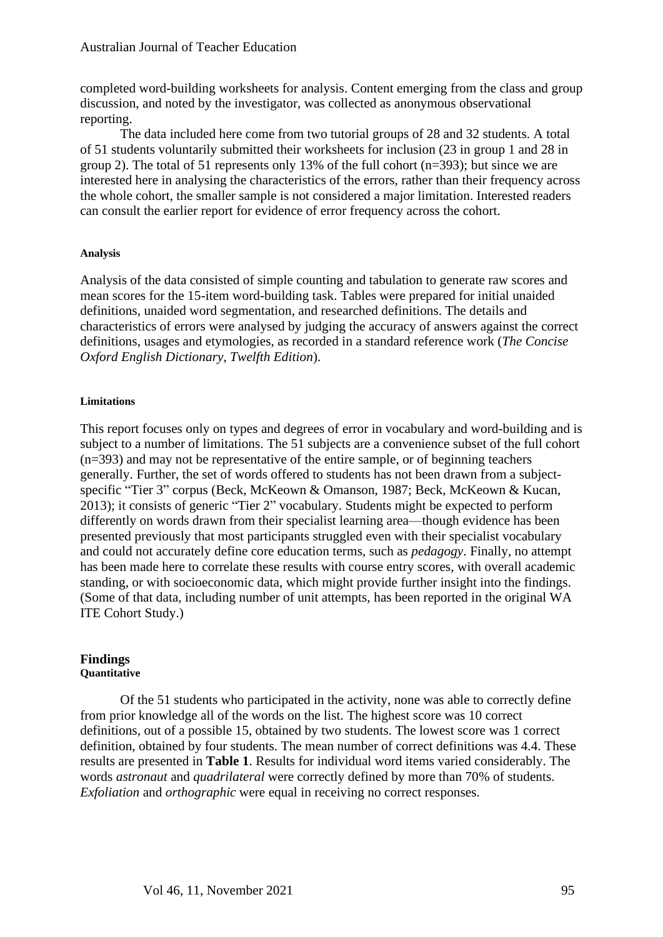completed word-building worksheets for analysis. Content emerging from the class and group discussion, and noted by the investigator, was collected as anonymous observational reporting.

The data included here come from two tutorial groups of 28 and 32 students. A total of 51 students voluntarily submitted their worksheets for inclusion (23 in group 1 and 28 in group 2). The total of 51 represents only 13% of the full cohort (n=393); but since we are interested here in analysing the characteristics of the errors, rather than their frequency across the whole cohort, the smaller sample is not considered a major limitation. Interested readers can consult the earlier report for evidence of error frequency across the cohort.

#### **Analysis**

Analysis of the data consisted of simple counting and tabulation to generate raw scores and mean scores for the 15-item word-building task. Tables were prepared for initial unaided definitions, unaided word segmentation, and researched definitions. The details and characteristics of errors were analysed by judging the accuracy of answers against the correct definitions, usages and etymologies, as recorded in a standard reference work (*The Concise Oxford English Dictionary, Twelfth Edition*).

#### **Limitations**

This report focuses only on types and degrees of error in vocabulary and word-building and is subject to a number of limitations. The 51 subjects are a convenience subset of the full cohort (n=393) and may not be representative of the entire sample, or of beginning teachers generally. Further, the set of words offered to students has not been drawn from a subjectspecific "Tier 3" corpus (Beck, McKeown & Omanson, 1987; Beck, McKeown & Kucan, 2013); it consists of generic "Tier 2" vocabulary. Students might be expected to perform differently on words drawn from their specialist learning area—though evidence has been presented previously that most participants struggled even with their specialist vocabulary and could not accurately define core education terms, such as *pedagogy*. Finally, no attempt has been made here to correlate these results with course entry scores, with overall academic standing, or with socioeconomic data, which might provide further insight into the findings. (Some of that data, including number of unit attempts, has been reported in the original WA ITE Cohort Study.)

#### **Findings Quantitative**

Of the 51 students who participated in the activity, none was able to correctly define from prior knowledge all of the words on the list. The highest score was 10 correct definitions, out of a possible 15, obtained by two students. The lowest score was 1 correct definition, obtained by four students. The mean number of correct definitions was 4.4. These results are presented in **Table 1**. Results for individual word items varied considerably. The words *astronaut* and *quadrilateral* were correctly defined by more than 70% of students. *Exfoliation* and *orthographic* were equal in receiving no correct responses.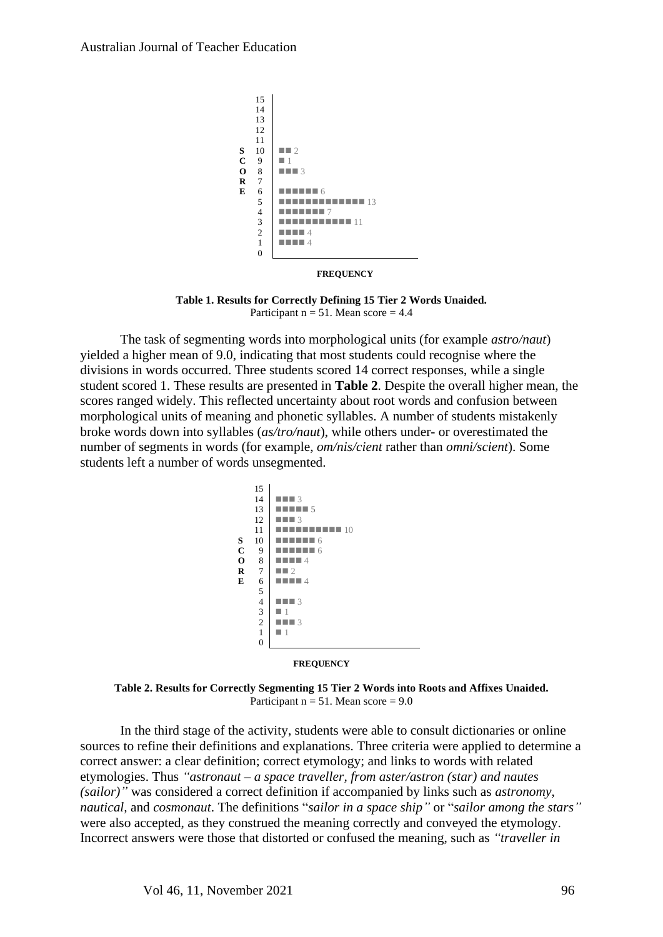

**FREQUENCY**

**Table 1. Results for Correctly Defining 15 Tier 2 Words Unaided.** Participant  $n = 51$ . Mean score  $= 4.4$ 

The task of segmenting words into morphological units (for example *astro/naut*) yielded a higher mean of 9.0, indicating that most students could recognise where the divisions in words occurred. Three students scored 14 correct responses, while a single student scored 1. These results are presented in **Table 2**. Despite the overall higher mean, the scores ranged widely. This reflected uncertainty about root words and confusion between morphological units of meaning and phonetic syllables. A number of students mistakenly broke words down into syllables (*as/tro/naut*), while others under- or overestimated the number of segments in words (for example, *om/nis/cient* rather than *omni/scient*). Some students left a number of words unsegmented.



 **FREQUENCY**

**Table 2. Results for Correctly Segmenting 15 Tier 2 Words into Roots and Affixes Unaided.** Participant  $n = 51$ . Mean score = 9.0

In the third stage of the activity, students were able to consult dictionaries or online sources to refine their definitions and explanations. Three criteria were applied to determine a correct answer: a clear definition; correct etymology; and links to words with related etymologies. Thus *"astronaut – a space traveller, from aster/astron (star) and nautes (sailor)"* was considered a correct definition if accompanied by links such as *astronomy*, *nautical,* and *cosmonaut*. The definitions "*sailor in a space ship"* or "*sailor among the stars"* were also accepted, as they construed the meaning correctly and conveyed the etymology. Incorrect answers were those that distorted or confused the meaning, such as *"traveller in*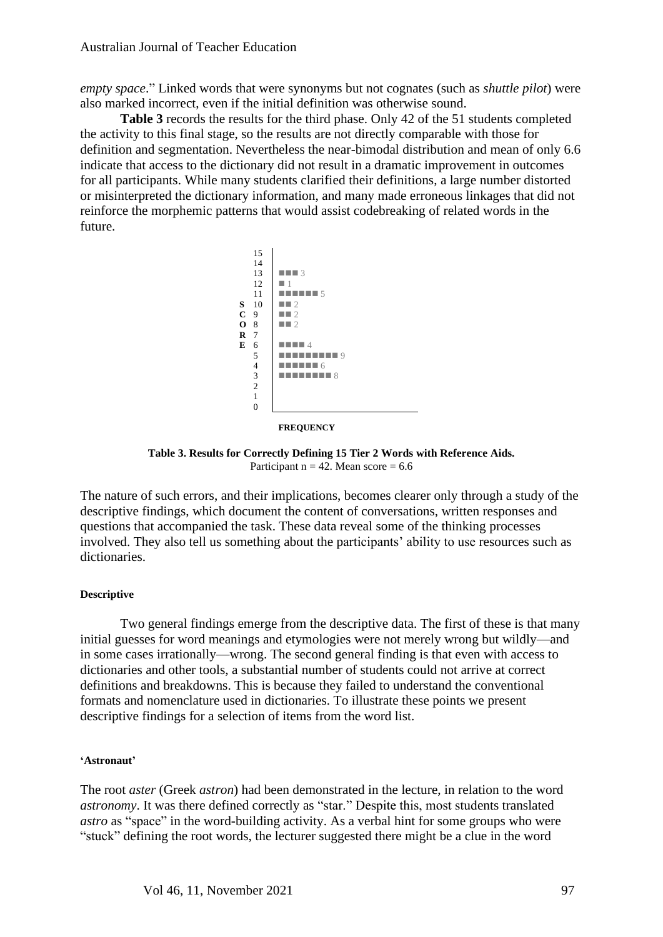*empty space*." Linked words that were synonyms but not cognates (such as *shuttle pilot*) were also marked incorrect, even if the initial definition was otherwise sound.

**Table 3** records the results for the third phase. Only 42 of the 51 students completed the activity to this final stage, so the results are not directly comparable with those for definition and segmentation. Nevertheless the near-bimodal distribution and mean of only 6.6 indicate that access to the dictionary did not result in a dramatic improvement in outcomes for all participants. While many students clarified their definitions, a large number distorted or misinterpreted the dictionary information, and many made erroneous linkages that did not reinforce the morphemic patterns that would assist codebreaking of related words in the future.



**FREQUENCY**

**Table 3. Results for Correctly Defining 15 Tier 2 Words with Reference Aids.** Participant  $n = 42$ . Mean score = 6.6

The nature of such errors, and their implications, becomes clearer only through a study of the descriptive findings, which document the content of conversations, written responses and questions that accompanied the task. These data reveal some of the thinking processes involved. They also tell us something about the participants' ability to use resources such as dictionaries.

## **Descriptive**

Two general findings emerge from the descriptive data. The first of these is that many initial guesses for word meanings and etymologies were not merely wrong but wildly—and in some cases irrationally—wrong. The second general finding is that even with access to dictionaries and other tools, a substantial number of students could not arrive at correct definitions and breakdowns. This is because they failed to understand the conventional formats and nomenclature used in dictionaries. To illustrate these points we present descriptive findings for a selection of items from the word list.

#### **'Astronaut'**

The root *aster* (Greek *astron*) had been demonstrated in the lecture, in relation to the word *astronomy*. It was there defined correctly as "star." Despite this, most students translated *astro* as "space" in the word-building activity. As a verbal hint for some groups who were "stuck" defining the root words, the lecturer suggested there might be a clue in the word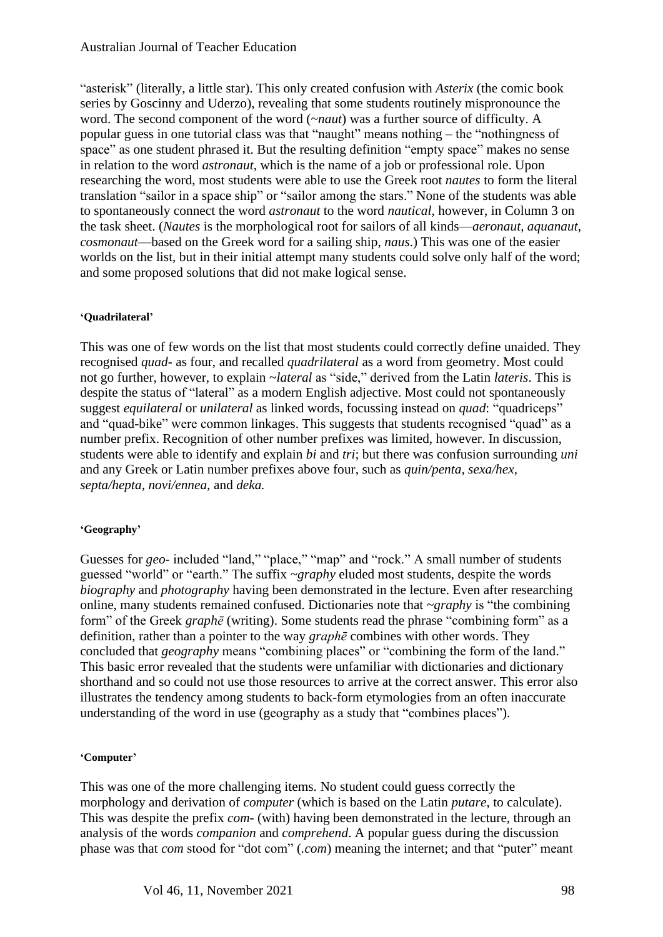"asterisk" (literally, a little star). This only created confusion with *Asterix* (the comic book series by Goscinny and Uderzo), revealing that some students routinely mispronounce the word. The second component of the word (~*naut*) was a further source of difficulty. A popular guess in one tutorial class was that "naught" means nothing – the "nothingness of space" as one student phrased it. But the resulting definition "empty space" makes no sense in relation to the word *astronaut*, which is the name of a job or professional role. Upon researching the word, most students were able to use the Greek root *nautes* to form the literal translation "sailor in a space ship" or "sailor among the stars." None of the students was able to spontaneously connect the word *astronaut* to the word *nautical,* however, in Column 3 on the task sheet. (*Nautes* is the morphological root for sailors of all kinds—*aeronaut, aquanaut, cosmonaut*—based on the Greek word for a sailing ship, *naus*.) This was one of the easier worlds on the list, but in their initial attempt many students could solve only half of the word; and some proposed solutions that did not make logical sense.

## **'Quadrilateral'**

This was one of few words on the list that most students could correctly define unaided. They recognised *quad-* as four, and recalled *quadrilateral* as a word from geometry. Most could not go further, however, to explain ~*lateral* as "side," derived from the Latin *lateris*. This is despite the status of "lateral" as a modern English adjective. Most could not spontaneously suggest *equilateral* or *unilateral* as linked words, focussing instead on *quad*: "quadriceps" and "quad-bike" were common linkages. This suggests that students recognised "quad" as a number prefix. Recognition of other number prefixes was limited, however. In discussion, students were able to identify and explain *bi* and *tri*; but there was confusion surrounding *uni* and any Greek or Latin number prefixes above four, such as *quin/penta, sexa/hex, septa/hepta, novi/ennea,* and *deka.* 

## **'Geography'**

Guesses for *geo*-included "land," "place," "map" and "rock." A small number of students guessed "world" or "earth." The suffix *~graphy* eluded most students, despite the words *biography* and *photography* having been demonstrated in the lecture. Even after researching online, many students remained confused. Dictionaries note that *~graphy* is "the combining form" of the Greek *graphē* (writing). Some students read the phrase "combining form" as a definition, rather than a pointer to the way *graphē* combines with other words. They concluded that *geography* means "combining places" or "combining the form of the land." This basic error revealed that the students were unfamiliar with dictionaries and dictionary shorthand and so could not use those resources to arrive at the correct answer. This error also illustrates the tendency among students to back-form etymologies from an often inaccurate understanding of the word in use (geography as a study that "combines places").

## **'Computer'**

This was one of the more challenging items. No student could guess correctly the morphology and derivation of *computer* (which is based on the Latin *putare*, to calculate). This was despite the prefix *com-* (with) having been demonstrated in the lecture, through an analysis of the words *companion* and *comprehend*. A popular guess during the discussion phase was that *com* stood for "dot com" (*.com*) meaning the internet; and that "puter" meant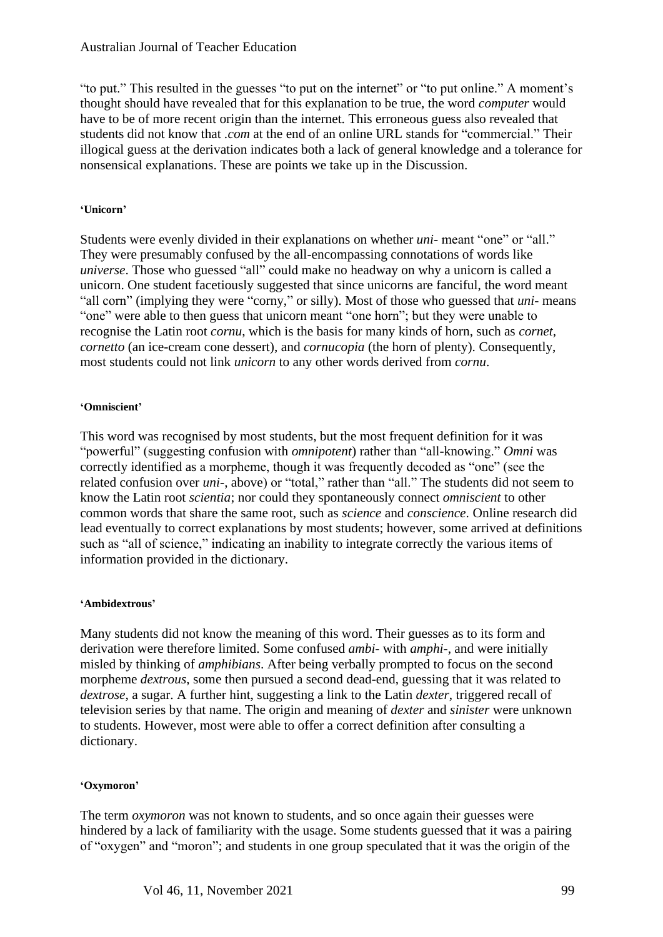"to put." This resulted in the guesses "to put on the internet" or "to put online." A moment's thought should have revealed that for this explanation to be true, the word *computer* would have to be of more recent origin than the internet. This erroneous guess also revealed that students did not know that *.com* at the end of an online URL stands for "commercial." Their illogical guess at the derivation indicates both a lack of general knowledge and a tolerance for nonsensical explanations. These are points we take up in the Discussion.

# **'Unicorn'**

Students were evenly divided in their explanations on whether *uni-* meant "one" or "all." They were presumably confused by the all-encompassing connotations of words like *universe*. Those who guessed "all" could make no headway on why a unicorn is called a unicorn. One student facetiously suggested that since unicorns are fanciful, the word meant "all corn" (implying they were "corny," or silly). Most of those who guessed that *uni-* means "one" were able to then guess that unicorn meant "one horn"; but they were unable to recognise the Latin root *cornu*, which is the basis for many kinds of horn, such as *cornet, cornetto* (an ice-cream cone dessert), and *cornucopia* (the horn of plenty). Consequently, most students could not link *unicorn* to any other words derived from *cornu*.

# **'Omniscient'**

This word was recognised by most students, but the most frequent definition for it was "powerful" (suggesting confusion with *omnipotent*) rather than "all-knowing." *Omni* was correctly identified as a morpheme, though it was frequently decoded as "one" (see the related confusion over *uni-*, above) or "total," rather than "all." The students did not seem to know the Latin root *scientia*; nor could they spontaneously connect *omniscient* to other common words that share the same root, such as *science* and *conscience*. Online research did lead eventually to correct explanations by most students; however, some arrived at definitions such as "all of science," indicating an inability to integrate correctly the various items of information provided in the dictionary.

## **'Ambidextrous'**

Many students did not know the meaning of this word. Their guesses as to its form and derivation were therefore limited. Some confused *ambi*- with *amphi*-, and were initially misled by thinking of *amphibians*. After being verbally prompted to focus on the second morpheme *dextrous*, some then pursued a second dead-end, guessing that it was related to *dextrose*, a sugar. A further hint, suggesting a link to the Latin *dexter*, triggered recall of television series by that name. The origin and meaning of *dexter* and *sinister* were unknown to students. However, most were able to offer a correct definition after consulting a dictionary.

# **'Oxymoron'**

The term *oxymoron* was not known to students, and so once again their guesses were hindered by a lack of familiarity with the usage. Some students guessed that it was a pairing of "oxygen" and "moron"; and students in one group speculated that it was the origin of the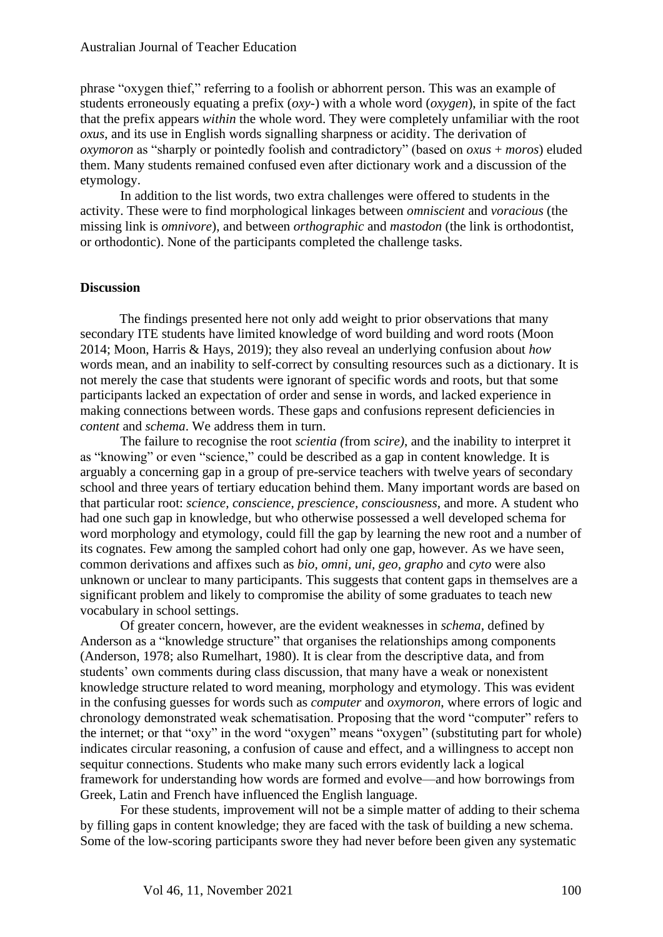phrase "oxygen thief," referring to a foolish or abhorrent person. This was an example of students erroneously equating a prefix (*oxy-*) with a whole word (*oxygen*), in spite of the fact that the prefix appears *within* the whole word. They were completely unfamiliar with the root *oxus*, and its use in English words signalling sharpness or acidity. The derivation of *oxymoron* as "sharply or pointedly foolish and contradictory" (based on *oxus* + *moros*) eluded them. Many students remained confused even after dictionary work and a discussion of the etymology.

In addition to the list words, two extra challenges were offered to students in the activity. These were to find morphological linkages between *omniscient* and *voracious* (the missing link is *omnivore*), and between *orthographic* and *mastodon* (the link is orthodontist, or orthodontic). None of the participants completed the challenge tasks.

#### **Discussion**

The findings presented here not only add weight to prior observations that many secondary ITE students have limited knowledge of word building and word roots (Moon 2014; Moon, Harris & Hays, 2019); they also reveal an underlying confusion about *how* words mean, and an inability to self-correct by consulting resources such as a dictionary. It is not merely the case that students were ignorant of specific words and roots, but that some participants lacked an expectation of order and sense in words, and lacked experience in making connections between words. These gaps and confusions represent deficiencies in *content* and *schema*. We address them in turn.

The failure to recognise the root *scientia (*from *scire)*, and the inability to interpret it as "knowing" or even "science," could be described as a gap in content knowledge. It is arguably a concerning gap in a group of pre-service teachers with twelve years of secondary school and three years of tertiary education behind them. Many important words are based on that particular root: *science, conscience, prescience, consciousness*, and more. A student who had one such gap in knowledge, but who otherwise possessed a well developed schema for word morphology and etymology, could fill the gap by learning the new root and a number of its cognates. Few among the sampled cohort had only one gap, however. As we have seen, common derivations and affixes such as *bio, omni, uni, geo, grapho* and *cyto* were also unknown or unclear to many participants. This suggests that content gaps in themselves are a significant problem and likely to compromise the ability of some graduates to teach new vocabulary in school settings.

Of greater concern, however, are the evident weaknesses in *schema*, defined by Anderson as a "knowledge structure" that organises the relationships among components (Anderson, 1978; also Rumelhart, 1980). It is clear from the descriptive data, and from students' own comments during class discussion, that many have a weak or nonexistent knowledge structure related to word meaning, morphology and etymology. This was evident in the confusing guesses for words such as *computer* and *oxymoron*, where errors of logic and chronology demonstrated weak schematisation. Proposing that the word "computer" refers to the internet; or that "oxy" in the word "oxygen" means "oxygen" (substituting part for whole) indicates circular reasoning, a confusion of cause and effect, and a willingness to accept non sequitur connections. Students who make many such errors evidently lack a logical framework for understanding how words are formed and evolve—and how borrowings from Greek, Latin and French have influenced the English language.

For these students, improvement will not be a simple matter of adding to their schema by filling gaps in content knowledge; they are faced with the task of building a new schema. Some of the low-scoring participants swore they had never before been given any systematic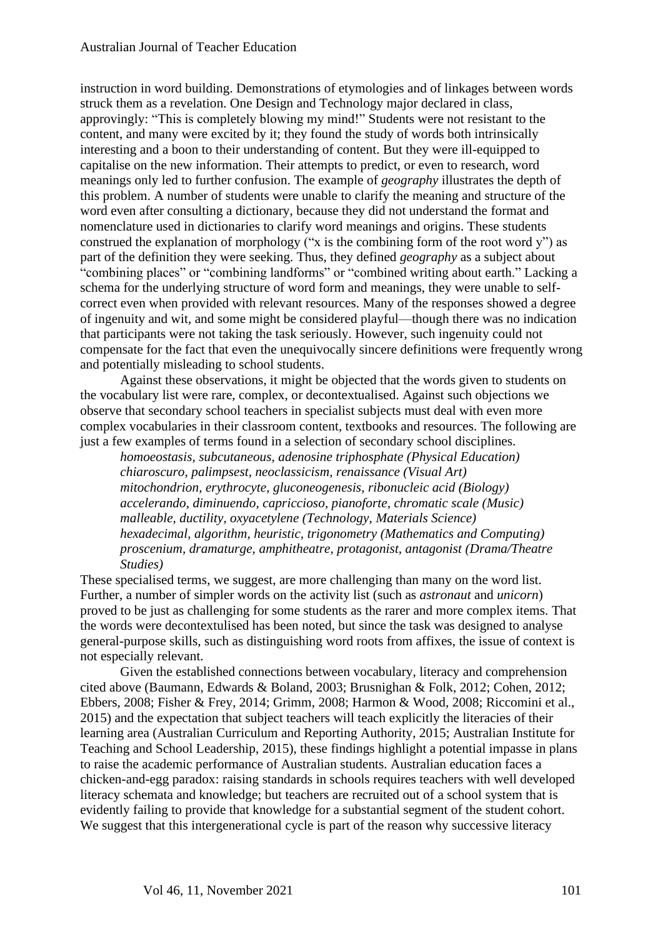instruction in word building. Demonstrations of etymologies and of linkages between words struck them as a revelation. One Design and Technology major declared in class, approvingly: "This is completely blowing my mind!" Students were not resistant to the content, and many were excited by it; they found the study of words both intrinsically interesting and a boon to their understanding of content. But they were ill-equipped to capitalise on the new information. Their attempts to predict, or even to research, word meanings only led to further confusion. The example of *geography* illustrates the depth of this problem. A number of students were unable to clarify the meaning and structure of the word even after consulting a dictionary, because they did not understand the format and nomenclature used in dictionaries to clarify word meanings and origins. These students construed the explanation of morphology ("x is the combining form of the root word y") as part of the definition they were seeking. Thus, they defined *geography* as a subject about "combining places" or "combining landforms" or "combined writing about earth." Lacking a schema for the underlying structure of word form and meanings, they were unable to selfcorrect even when provided with relevant resources. Many of the responses showed a degree of ingenuity and wit, and some might be considered playful—though there was no indication that participants were not taking the task seriously. However, such ingenuity could not compensate for the fact that even the unequivocally sincere definitions were frequently wrong and potentially misleading to school students.

Against these observations, it might be objected that the words given to students on the vocabulary list were rare, complex, or decontextualised. Against such objections we observe that secondary school teachers in specialist subjects must deal with even more complex vocabularies in their classroom content, textbooks and resources. The following are just a few examples of terms found in a selection of secondary school disciplines.

*homoeostasis, subcutaneous, adenosine triphosphate (Physical Education) chiaroscuro, palimpsest, neoclassicism, renaissance (Visual Art) mitochondrion, erythrocyte, gluconeogenesis, ribonucleic acid (Biology) accelerando, diminuendo, capriccioso, pianoforte, chromatic scale (Music) malleable, ductility, oxyacetylene (Technology, Materials Science) hexadecimal, algorithm, heuristic, trigonometry (Mathematics and Computing) proscenium, dramaturge, amphitheatre, protagonist, antagonist (Drama/Theatre Studies)*

These specialised terms, we suggest, are more challenging than many on the word list. Further, a number of simpler words on the activity list (such as *astronaut* and *unicorn*) proved to be just as challenging for some students as the rarer and more complex items. That the words were decontextulised has been noted, but since the task was designed to analyse general-purpose skills, such as distinguishing word roots from affixes, the issue of context is not especially relevant.

Given the established connections between vocabulary, literacy and comprehension cited above (Baumann, Edwards & Boland, 2003; Brusnighan & Folk, 2012; Cohen, 2012; Ebbers, 2008; Fisher & Frey, 2014; Grimm, 2008; Harmon & Wood, 2008; Riccomini et al., 2015) and the expectation that subject teachers will teach explicitly the literacies of their learning area (Australian Curriculum and Reporting Authority, 2015; Australian Institute for Teaching and School Leadership, 2015), these findings highlight a potential impasse in plans to raise the academic performance of Australian students. Australian education faces a chicken-and-egg paradox: raising standards in schools requires teachers with well developed literacy schemata and knowledge; but teachers are recruited out of a school system that is evidently failing to provide that knowledge for a substantial segment of the student cohort. We suggest that this intergenerational cycle is part of the reason why successive literacy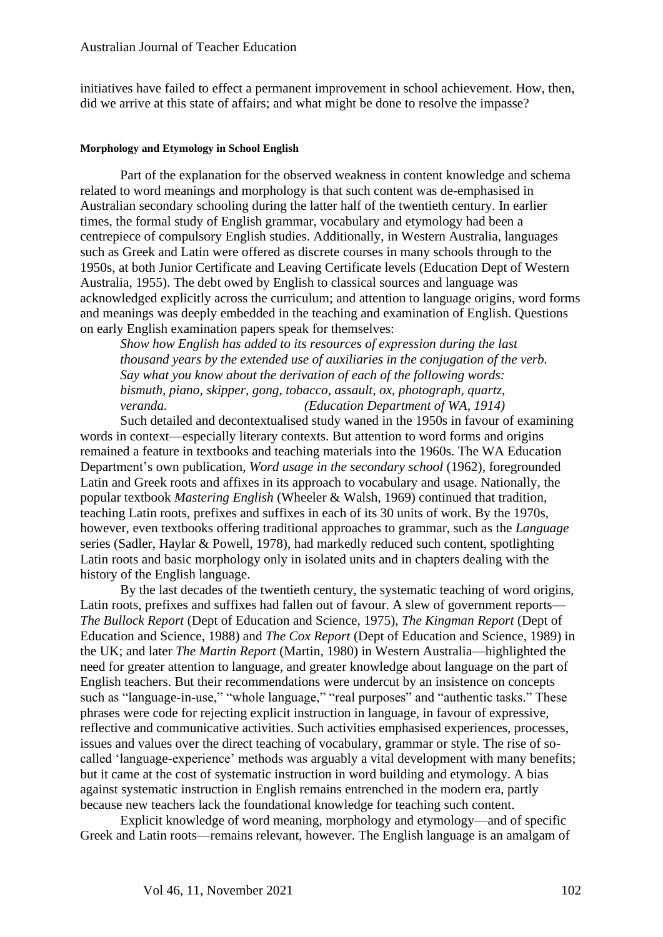initiatives have failed to effect a permanent improvement in school achievement. How, then, did we arrive at this state of affairs; and what might be done to resolve the impasse?

#### **Morphology and Etymology in School English**

Part of the explanation for the observed weakness in content knowledge and schema related to word meanings and morphology is that such content was de-emphasised in Australian secondary schooling during the latter half of the twentieth century. In earlier times, the formal study of English grammar, vocabulary and etymology had been a centrepiece of compulsory English studies. Additionally, in Western Australia, languages such as Greek and Latin were offered as discrete courses in many schools through to the 1950s, at both Junior Certificate and Leaving Certificate levels (Education Dept of Western Australia, 1955). The debt owed by English to classical sources and language was acknowledged explicitly across the curriculum; and attention to language origins, word forms and meanings was deeply embedded in the teaching and examination of English. Questions on early English examination papers speak for themselves:

*Show how English has added to its resources of expression during the last thousand years by the extended use of auxiliaries in the conjugation of the verb. Say what you know about the derivation of each of the following words: bismuth, piano, skipper, gong, tobacco, assault, ox, photograph, quartz, veranda. (Education Department of WA, 1914)*

Such detailed and decontextualised study waned in the 1950s in favour of examining words in context—especially literary contexts. But attention to word forms and origins remained a feature in textbooks and teaching materials into the 1960s. The WA Education Department's own publication, *Word usage in the secondary school* (1962), foregrounded Latin and Greek roots and affixes in its approach to vocabulary and usage. Nationally, the popular textbook *Mastering English* (Wheeler & Walsh, 1969) continued that tradition, teaching Latin roots, prefixes and suffixes in each of its 30 units of work. By the 1970s, however, even textbooks offering traditional approaches to grammar, such as the *Language* series (Sadler, Haylar & Powell, 1978), had markedly reduced such content, spotlighting Latin roots and basic morphology only in isolated units and in chapters dealing with the history of the English language.

By the last decades of the twentieth century, the systematic teaching of word origins, Latin roots, prefixes and suffixes had fallen out of favour. A slew of government reports— *The Bullock Report* (Dept of Education and Science, 1975), *The Kingman Report* (Dept of Education and Science, 1988) and *The Cox Report* (Dept of Education and Science, 1989) in the UK; and later *The Martin Report* (Martin, 1980) in Western Australia—highlighted the need for greater attention to language, and greater knowledge about language on the part of English teachers. But their recommendations were undercut by an insistence on concepts such as "language-in-use," "whole language," "real purposes" and "authentic tasks." These phrases were code for rejecting explicit instruction in language, in favour of expressive, reflective and communicative activities. Such activities emphasised experiences, processes, issues and values over the direct teaching of vocabulary, grammar or style. The rise of socalled 'language-experience' methods was arguably a vital development with many benefits; but it came at the cost of systematic instruction in word building and etymology. A bias against systematic instruction in English remains entrenched in the modern era, partly because new teachers lack the foundational knowledge for teaching such content.

Explicit knowledge of word meaning, morphology and etymology—and of specific Greek and Latin roots—remains relevant, however. The English language is an amalgam of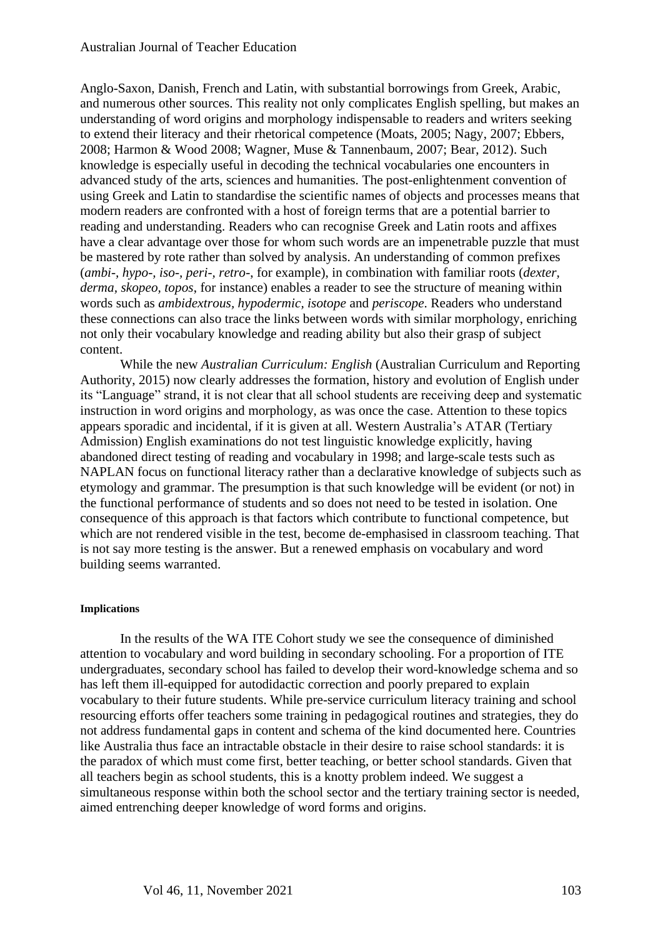Anglo-Saxon, Danish, French and Latin, with substantial borrowings from Greek, Arabic, and numerous other sources. This reality not only complicates English spelling, but makes an understanding of word origins and morphology indispensable to readers and writers seeking to extend their literacy and their rhetorical competence (Moats, 2005; Nagy, 2007; Ebbers, 2008; Harmon & Wood 2008; Wagner, Muse & Tannenbaum, 2007; Bear, 2012). Such knowledge is especially useful in decoding the technical vocabularies one encounters in advanced study of the arts, sciences and humanities. The post-enlightenment convention of using Greek and Latin to standardise the scientific names of objects and processes means that modern readers are confronted with a host of foreign terms that are a potential barrier to reading and understanding. Readers who can recognise Greek and Latin roots and affixes have a clear advantage over those for whom such words are an impenetrable puzzle that must be mastered by rote rather than solved by analysis. An understanding of common prefixes (*ambi-, hypo-, iso-, peri-, retro-*, for example), in combination with familiar roots (*dexter, derma, skopeo, topos*, for instance) enables a reader to see the structure of meaning within words such as *ambidextrous, hypodermic, isotope* and *periscope*. Readers who understand these connections can also trace the links between words with similar morphology, enriching not only their vocabulary knowledge and reading ability but also their grasp of subject content.

While the new *Australian Curriculum: English* (Australian Curriculum and Reporting Authority, 2015) now clearly addresses the formation, history and evolution of English under its "Language" strand, it is not clear that all school students are receiving deep and systematic instruction in word origins and morphology, as was once the case. Attention to these topics appears sporadic and incidental, if it is given at all. Western Australia's ATAR (Tertiary Admission) English examinations do not test linguistic knowledge explicitly, having abandoned direct testing of reading and vocabulary in 1998; and large-scale tests such as NAPLAN focus on functional literacy rather than a declarative knowledge of subjects such as etymology and grammar. The presumption is that such knowledge will be evident (or not) in the functional performance of students and so does not need to be tested in isolation. One consequence of this approach is that factors which contribute to functional competence, but which are not rendered visible in the test, become de-emphasised in classroom teaching. That is not say more testing is the answer. But a renewed emphasis on vocabulary and word building seems warranted.

#### **Implications**

In the results of the WA ITE Cohort study we see the consequence of diminished attention to vocabulary and word building in secondary schooling. For a proportion of ITE undergraduates, secondary school has failed to develop their word-knowledge schema and so has left them ill-equipped for autodidactic correction and poorly prepared to explain vocabulary to their future students. While pre-service curriculum literacy training and school resourcing efforts offer teachers some training in pedagogical routines and strategies, they do not address fundamental gaps in content and schema of the kind documented here. Countries like Australia thus face an intractable obstacle in their desire to raise school standards: it is the paradox of which must come first, better teaching, or better school standards. Given that all teachers begin as school students, this is a knotty problem indeed. We suggest a simultaneous response within both the school sector and the tertiary training sector is needed, aimed entrenching deeper knowledge of word forms and origins.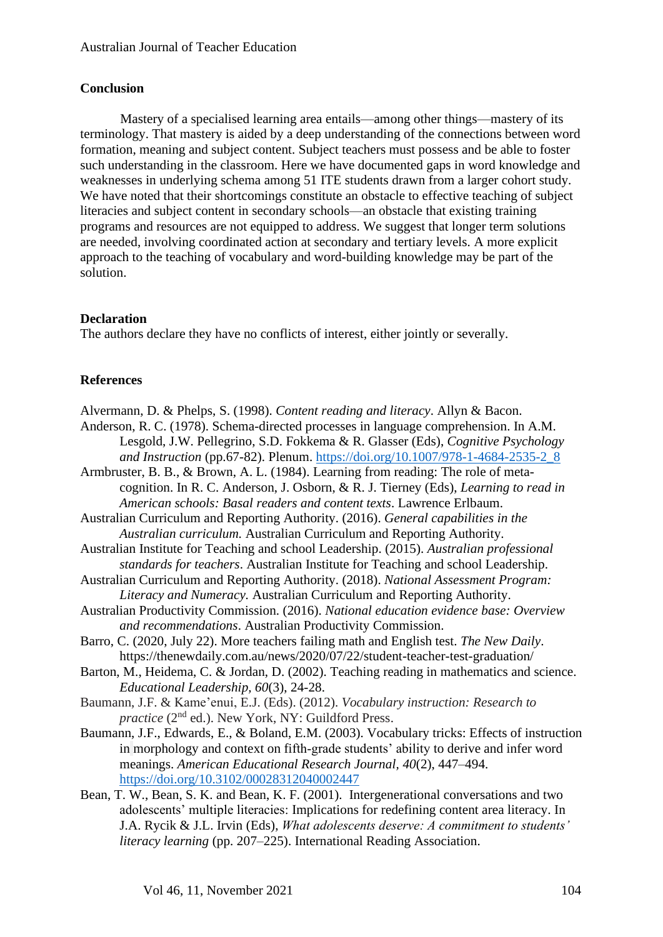# **Conclusion**

Mastery of a specialised learning area entails—among other things—mastery of its terminology. That mastery is aided by a deep understanding of the connections between word formation, meaning and subject content. Subject teachers must possess and be able to foster such understanding in the classroom. Here we have documented gaps in word knowledge and weaknesses in underlying schema among 51 ITE students drawn from a larger cohort study. We have noted that their shortcomings constitute an obstacle to effective teaching of subject literacies and subject content in secondary schools—an obstacle that existing training programs and resources are not equipped to address. We suggest that longer term solutions are needed, involving coordinated action at secondary and tertiary levels. A more explicit approach to the teaching of vocabulary and word-building knowledge may be part of the solution.

# **Declaration**

The authors declare they have no conflicts of interest, either jointly or severally.

# **References**

Alvermann, D. & Phelps, S. (1998). *Content reading and literacy*. Allyn & Bacon.

- Anderson, R. C. (1978). Schema-directed processes in language comprehension. In A.M. Lesgold, J.W. Pellegrino, S.D. Fokkema & R. Glasser (Eds), *Cognitive Psychology and Instruction* (pp.67-82). Plenum. [https://doi.org/10.1007/978-1-4684-2535-2\\_8](https://doi.org/10.1007/978-1-4684-2535-2_8)
- Armbruster, B. B., & Brown, A. L. (1984). Learning from reading: The role of metacognition. In R. C. Anderson, J. Osborn, & R. J. Tierney (Eds), *Learning to read in American schools: Basal readers and content texts*. Lawrence Erlbaum.
- Australian Curriculum and Reporting Authority. (2016). *General capabilities in the Australian curriculum.* Australian Curriculum and Reporting Authority.
- Australian Institute for Teaching and school Leadership. (2015). *Australian professional standards for teachers*. Australian Institute for Teaching and school Leadership.
- Australian Curriculum and Reporting Authority. (2018). *National Assessment Program: Literacy and Numeracy.* Australian Curriculum and Reporting Authority.
- Australian Productivity Commission. (2016). *National education evidence base: Overview and recommendations*. Australian Productivity Commission.
- Barro, C. (2020, July 22). More teachers failing math and English test. *The New Daily*. https://thenewdaily.com.au/news/2020/07/22/student-teacher-test-graduation/
- Barton, M., Heidema, C. & Jordan, D. (2002). Teaching reading in mathematics and science. *Educational Leadership, 60*(3), 24-28.
- Baumann, J.F. & Kame'enui, E.J. (Eds). (2012). *Vocabulary instruction: Research to practice* (2<sup>nd</sup> ed.). New York, NY: Guildford Press.
- Baumann, J.F., Edwards, E., & Boland, E.M. (2003). Vocabulary tricks: Effects of instruction in morphology and context on fifth‐grade students' ability to derive and infer word meanings. *American Educational Research Journal, 40*(2), 447–494. <https://doi.org/10.3102/00028312040002447>
- Bean, T. W., Bean, S. K. and Bean, K. F. (2001). Intergenerational conversations and two adolescents' multiple literacies: Implications for redefining content area literacy. In J.A. Rycik & J.L. Irvin (Eds), *What adolescents deserve: A commitment to students' literacy learning* (pp. 207–225). International Reading Association.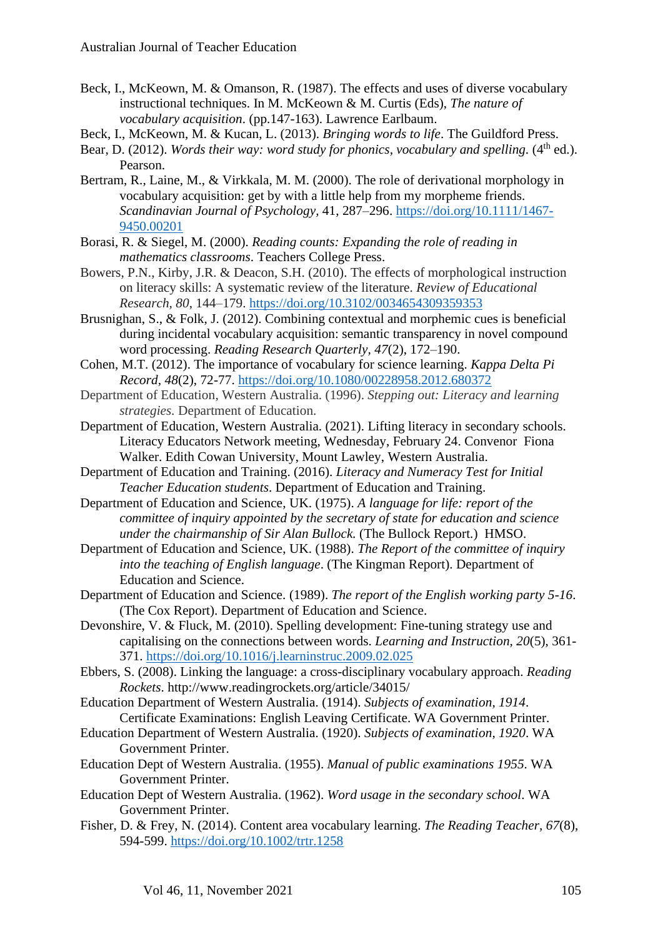- Beck, I., McKeown, M. & Omanson, R. (1987). The effects and uses of diverse vocabulary instructional techniques. In M. McKeown & M. Curtis (Eds), *The nature of vocabulary acquisition*. (pp.147-163). Lawrence Earlbaum.
- Beck, I., McKeown, M. & Kucan, L. (2013). *Bringing words to life*. The Guildford Press.
- Bear, D. (2012). *Words their way: word study for phonics, vocabulary and spelling.* (4<sup>th</sup> ed.). Pearson.
- Bertram, R., Laine, M., & Virkkala, M. M. (2000). The role of derivational morphology in vocabulary acquisition: get by with a little help from my morpheme friends. *Scandinavian Journal of Psychology,* 41, 287–296. [https://doi.org/10.1111/1467-](https://doi.org/10.1111/1467-9450.00201) [9450.00201](https://doi.org/10.1111/1467-9450.00201)
- Borasi, R. & Siegel, M. (2000). *Reading counts: Expanding the role of reading in mathematics classrooms*. Teachers College Press.
- Bowers, P.N., Kirby, J.R. & Deacon, S.H. (2010). The effects of morphological instruction on literacy skills: A systematic review of the literature. *Review of Educational Research, 80*, 144–179. <https://doi.org/10.3102/0034654309359353>
- Brusnighan, S., & Folk, J. (2012). Combining contextual and morphemic cues is beneficial during incidental vocabulary acquisition: semantic transparency in novel compound word processing. *Reading Research Quarterly, 47*(2), 172–190.
- Cohen, M.T. (2012). The importance of vocabulary for science learning. *Kappa Delta Pi Record, 48*(2), 72-77. <https://doi.org/10.1080/00228958.2012.680372>
- Department of Education, Western Australia. (1996). *Stepping out: Literacy and learning strategies.* Department of Education.
- Department of Education, Western Australia. (2021). Lifting literacy in secondary schools. Literacy Educators Network meeting, Wednesday, February 24. Convenor Fiona Walker. Edith Cowan University, Mount Lawley, Western Australia.
- Department of Education and Training. (2016). *Literacy and Numeracy Test for Initial Teacher Education students*. Department of Education and Training.
- Department of Education and Science, UK. (1975). *A language for life: report of the committee of inquiry appointed by the secretary of state for education and science under the chairmanship of Sir Alan Bullock.* (The Bullock Report.) HMSO.
- Department of Education and Science, UK. (1988). *The Report of the committee of inquiry into the teaching of English language*. (The Kingman Report). Department of Education and Science.
- Department of Education and Science. (1989). *The report of the English working party 5-16*. (The Cox Report). Department of Education and Science.
- Devonshire, V. & Fluck, M. (2010). Spelling development: Fine-tuning strategy use and capitalising on the connections between words. *Learning and Instruction, 20*(5), 361- 371. <https://doi.org/10.1016/j.learninstruc.2009.02.025>
- Ebbers, S. (2008). Linking the language: a cross-disciplinary vocabulary approach. *Reading Rockets*. http://www.readingrockets.org/article/34015/
- Education Department of Western Australia. (1914). *Subjects of examination, 1914*. Certificate Examinations: English Leaving Certificate. WA Government Printer.
- Education Department of Western Australia. (1920). *Subjects of examination, 1920*. WA Government Printer.
- Education Dept of Western Australia. (1955). *Manual of public examinations 1955*. WA Government Printer.
- Education Dept of Western Australia. (1962). *Word usage in the secondary school*. WA Government Printer.
- Fisher, D. & Frey, N. (2014). Content area vocabulary learning. *The Reading Teacher, 67*(8), 594-599. <https://doi.org/10.1002/trtr.1258>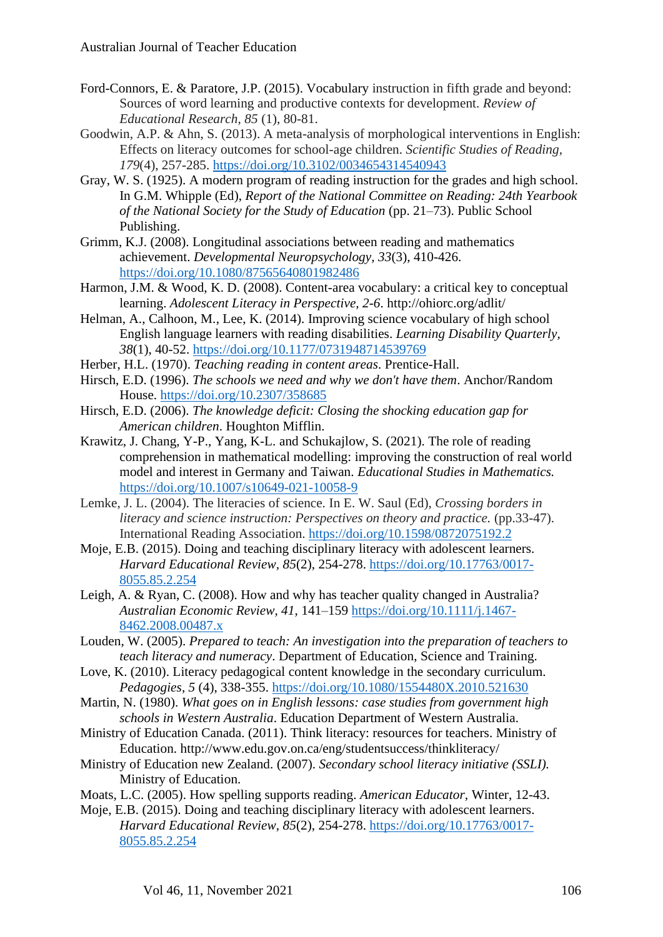- Ford-Connors, E. & Paratore, J.P. (2015). Vocabulary instruction in fifth grade and beyond: Sources of word learning and productive contexts for development. *Review of Educational Research, 85* (1), 80-81.
- Goodwin, A.P. & Ahn, S. (2013). A meta-analysis of morphological interventions in English: Effects on literacy outcomes for school-age children. *Scientific Studies of Reading, 179*(4), 257-285. <https://doi.org/10.3102/0034654314540943>
- Gray, W. S. (1925). A modern program of reading instruction for the grades and high school. In G.M. Whipple (Ed), *Report of the National Committee on Reading: 24th Yearbook of the National Society for the Study of Education* (pp. 21–73). Public School Publishing.
- Grimm, K.J. (2008). Longitudinal associations between reading and mathematics achievement. *Developmental Neuropsychology, 33*(3), 410-426. <https://doi.org/10.1080/87565640801982486>
- Harmon, J.M. & Wood, K. D. (2008). Content-area vocabulary: a critical key to conceptual learning. *Adolescent Literacy in Perspective, 2-6*. http://ohiorc.org/adlit/
- Helman, A., Calhoon, M., Lee, K. (2014). Improving science vocabulary of high school English language learners with reading disabilities. *Learning Disability Quarterly, 38*(1), 40-52. <https://doi.org/10.1177/0731948714539769>
- Herber, H.L. (1970). *Teaching reading in content areas*. Prentice-Hall.
- Hirsch, E.D. (1996). *The schools we need and why we don't have them*. Anchor/Random House. <https://doi.org/10.2307/358685>
- Hirsch, E.D. (2006). *The knowledge deficit: Closing the shocking education gap for American children*. Houghton Mifflin.
- Krawitz, J. Chang, Y-P., Yang, K-L. and Schukajlow, S. (2021). The role of reading comprehension in mathematical modelling: improving the construction of real world model and interest in Germany and Taiwan. *Educational Studies in Mathematics.* <https://doi.org/10.1007/s10649-021-10058-9>
- Lemke, J. L. (2004). The literacies of science. In E. W. Saul (Ed), *Crossing borders in literacy and science instruction: Perspectives on theory and practice.* (pp.33-47). International Reading Association. <https://doi.org/10.1598/0872075192.2>
- Moje, E.B. (2015). Doing and teaching disciplinary literacy with adolescent learners. *Harvard Educational Review, 85*(2), 254-278. [https://doi.org/10.17763/0017-](https://doi.org/10.17763/0017-8055.85.2.254) [8055.85.2.254](https://doi.org/10.17763/0017-8055.85.2.254)
- Leigh, A. & Ryan, C. (2008). How and why has teacher quality changed in Australia? *Australian Economic Review, 41*, 141–159 [https://doi.org/10.1111/j.1467-](https://doi.org/10.1111/j.1467-8462.2008.00487.x) [8462.2008.00487.x](https://doi.org/10.1111/j.1467-8462.2008.00487.x)
- Louden, W. (2005). *Prepared to teach: An investigation into the preparation of teachers to teach literacy and numeracy*. Department of Education, Science and Training.
- Love, K. (2010). Literacy pedagogical content knowledge in the secondary curriculum. *Pedagogies, 5* (4), 338-355.<https://doi.org/10.1080/1554480X.2010.521630>
- Martin, N. (1980). *What goes on in English lessons: case studies from government high schools in Western Australia*. Education Department of Western Australia.
- Ministry of Education Canada. (2011). Think literacy: resources for teachers. Ministry of Education. http://www.edu.gov.on.ca/eng/studentsuccess/thinkliteracy/
- Ministry of Education new Zealand. (2007). *Secondary school literacy initiative (SSLI).* Ministry of Education.
- Moats, L.C. (2005). How spelling supports reading. *American Educator,* Winter, 12-43.
- Moje, E.B. (2015). Doing and teaching disciplinary literacy with adolescent learners. *Harvard Educational Review, 85*(2), 254-278. [https://doi.org/10.17763/0017-](https://doi.org/10.17763/0017-8055.85.2.254) [8055.85.2.254](https://doi.org/10.17763/0017-8055.85.2.254)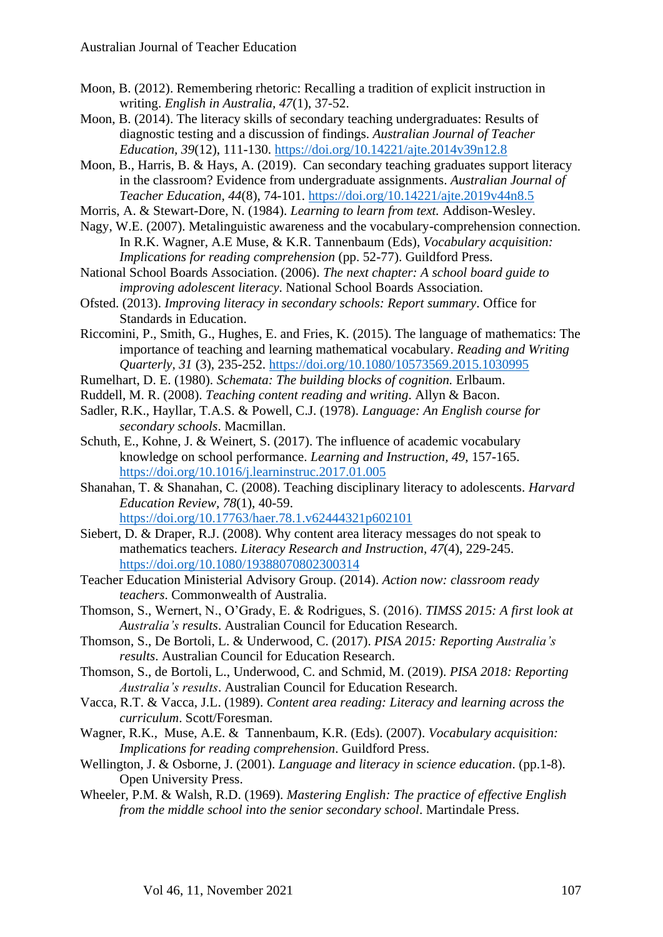- Moon, B. (2012). Remembering rhetoric: Recalling a tradition of explicit instruction in writing. *English in Australia, 47*(1), 37-52.
- Moon, B. (2014). The literacy skills of secondary teaching undergraduates: Results of diagnostic testing and a discussion of findings. *Australian Journal of Teacher Education, 39*(12), 111-130.<https://doi.org/10.14221/ajte.2014v39n12.8>
- Moon, B., Harris, B. & Hays, A. (2019). Can secondary teaching graduates support literacy in the classroom? Evidence from undergraduate assignments. *Australian Journal of Teacher Education, 44*(8), 74-101. <https://doi.org/10.14221/ajte.2019v44n8.5>
- Morris, A. & Stewart-Dore, N. (1984). *Learning to learn from text.* Addison-Wesley.
- Nagy, W.E. (2007). Metalinguistic awareness and the vocabulary-comprehension connection. In R.K. Wagner, A.E Muse, & K.R. Tannenbaum (Eds), *Vocabulary acquisition: Implications for reading comprehension* (pp. 52-77). Guildford Press.
- National School Boards Association. (2006). *The next chapter: A school board guide to improving adolescent literacy*. National School Boards Association.
- Ofsted. (2013). *Improving literacy in secondary schools: Report summary*. Office for Standards in Education.
- Riccomini, P., Smith, G., Hughes, E. and Fries, K. (2015). The language of mathematics: The importance of teaching and learning mathematical vocabulary. *Reading and Writing Quarterly, 31* (3), 235-252. <https://doi.org/10.1080/10573569.2015.1030995>
- Rumelhart, D. E. (1980). *Schemata: The building blocks of cognition.* Erlbaum.
- Ruddell, M. R. (2008). *Teaching content reading and writing*. Allyn & Bacon.
- Sadler, R.K., Hayllar, T.A.S. & Powell, C.J. (1978). *Language: An English course for secondary schools*. Macmillan.
- Schuth, E., Kohne, J. & Weinert, S. (2017). The influence of academic vocabulary knowledge on school performance. *Learning and Instruction, 49*, 157-165. <https://doi.org/10.1016/j.learninstruc.2017.01.005>
- Shanahan, T. & Shanahan, C. (2008). Teaching disciplinary literacy to adolescents. *Harvard Education Review, 78*(1), 40-59. <https://doi.org/10.17763/haer.78.1.v62444321p602101>
- Siebert, D. & Draper, R.J. (2008). Why content area literacy messages do not speak to mathematics teachers. *Literacy Research and Instruction, 47*(4), 229-245. <https://doi.org/10.1080/19388070802300314>
- Teacher Education Ministerial Advisory Group. (2014). *Action now: classroom ready teachers*. Commonwealth of Australia.
- Thomson, S., Wernert, N., O'Grady, E. & Rodrigues, S. (2016). *TIMSS 2015: A first look at Australia's results*. Australian Council for Education Research.
- Thomson, S., De Bortoli, L. & Underwood, C. (2017). *PISA 2015: Reporting Australia's results*. Australian Council for Education Research.
- Thomson, S., de Bortoli, L., Underwood, C. and Schmid, M. (2019). *PISA 2018: Reporting Australia's results*. Australian Council for Education Research.
- Vacca, R.T. & Vacca, J.L. (1989). *Content area reading: Literacy and learning across the curriculum*. Scott/Foresman.
- Wagner, R.K., Muse, A.E. & Tannenbaum, K.R. (Eds). (2007). *Vocabulary acquisition: Implications for reading comprehension*. Guildford Press.
- Wellington, J. & Osborne, J. (2001). *Language and literacy in science education*. (pp.1-8). Open University Press.
- Wheeler, P.M. & Walsh, R.D. (1969). *Mastering English: The practice of effective English from the middle school into the senior secondary school*. Martindale Press.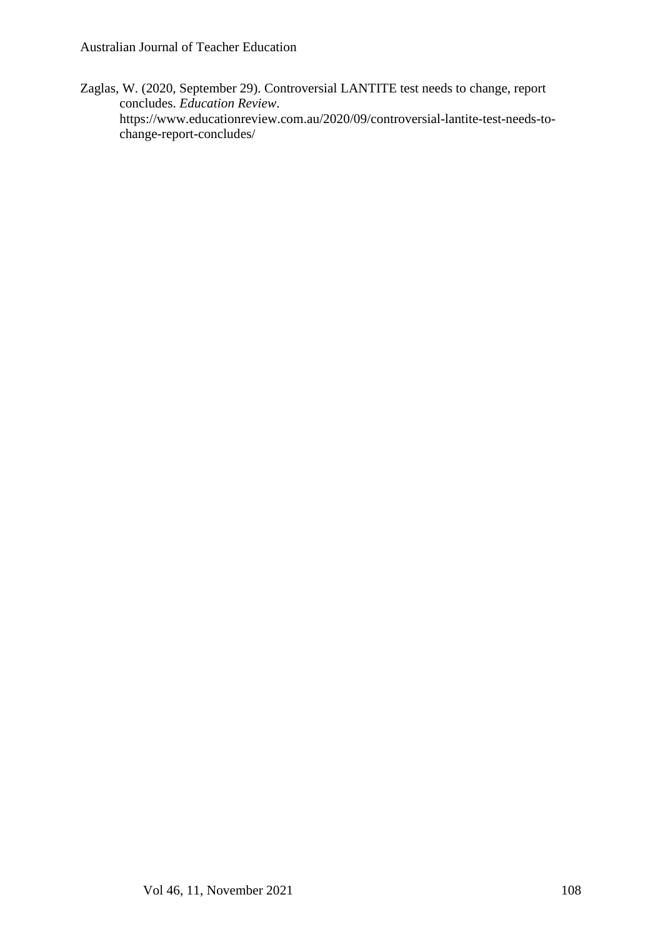Zaglas, W. (2020, September 29). Controversial LANTITE test needs to change, report concludes. *Education Review*. https://www.educationreview.com.au/2020/09/controversial-lantite-test-needs-tochange-report-concludes/